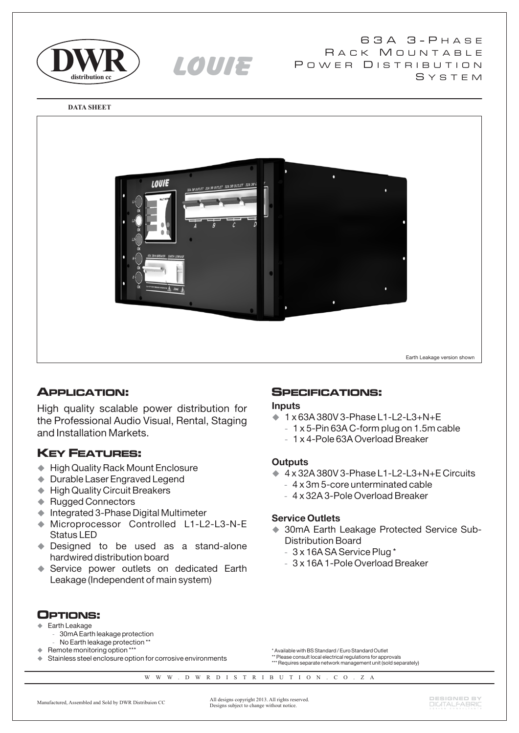

6 3 A 3 - P H A S E RACK MOUNTABLE POWER DISTRIBUTION S Y S T E M

**DATA SHEET**



**istributionRcc** LOUIE

# **APPLICATION:**

High quality scalable power distribution for the Professional Audio Visual, Rental, Staging and Installation Markets.

# **KEY FEATURES:**

- ◆ High Quality Rack Mount Enclosure
- ◆ Durable Laser Engraved Legend
- ◆ High Quality Circuit Breakers
- ◆ Rugged Connectors
- $\blacklozenge$  Integrated 3-Phase Digital Multimeter
- $\blacklozenge$  Microprocessor Controlled L1-L2-L3-N-E Status LED
- Designed to be used as a stand-alone hardwired distribution board
- ◆ Service power outlets on dedicated Earth Leakage (Independent of main system)

# **SPECIFICATIONS:**

#### **Inputs**

- ◆ 1 x 63A 380V 3-Phase L1-L2-L3+N+E
	- 1 x 5-Pin 63A C-form plug on 1.5m cable **-**
	- 1 x 4-Pole 63A Overload Breaker **-**

### **Outputs**

- ◆ 4 x 32A 380V 3-Phase L1-L2-L3+N+E Circuits
- 4 x 3m 5-core unterminated cable **-**
- 4 x 32A 3-Pole Overload Breaker **-**

### **Service Outlets**

- ◆ 30mA Earth Leakage Protected Service Sub-Distribution Board
	- 3 x 16A SA Service Plug \* **-**
	- 3 x 16A 1-Pole Overload Breaker **-**

**OPTIONS:**

#### $\blacklozenge$ Earth Leakage

- **-** 30mA Earth leakage protection
- **-** No Earth leakage protection \*\*
- ♦ Remote monitoring option \*\*\* ♦ Stainless steel enclosure option for corrosive environments
- \* Available with BS Standard / Euro Standard Outlet \*\* Please consult local electrical regulations for approvals
- \*\*\* Requires separate network management unit (sold separately)

W W W . D W R D I S T R I B U T I O N . C O . Z A

All designs copyright 2013. All rights reserved. Designs subject to change without notice. Manufactured, Assembled and Sold by DWR Distribuion CC